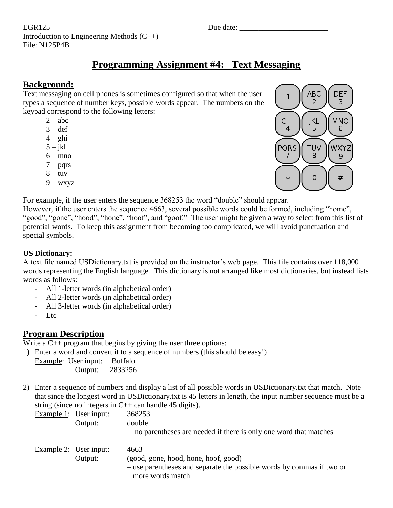EGR125 Due date: Introduction to Engineering Methods (C++) File: N125P4B

# **Programming Assignment #4: Text Messaging**

### **Background:**

Text messaging on cell phones is sometimes configured so that when the user types a sequence of number keys, possible words appear. The numbers on the keypad correspond to the following letters:

- $2 abc$
- $3 def$
- $4 ghi$
- $5 i k$
- $6 \text{mno}$
- $7 \text{pqrs}$
- $8 -$ tuv
- $9 -$  wxyz



For example, if the user enters the sequence 368253 the word "double" should appear.

However, if the user enters the sequence 4663, several possible words could be formed, including "home", "good", "gone", "hood", "hone", "hoof", and "goof." The user might be given a way to select from this list of potential words. To keep this assignment from becoming too complicated, we will avoid punctuation and special symbols.

### **US Dictionary:**

A text file named USDictionary.txt is provided on the instructor's web page. This file contains over 118,000 words representing the English language. This dictionary is not arranged like most dictionaries, but instead lists words as follows:

- All 1-letter words (in alphabetical order)
- All 2-letter words (in alphabetical order)
- All 3-letter words (in alphabetical order)
- Etc

### **Program Description**

Write a  $C_{++}$  program that begins by giving the user three options:

1) Enter a word and convert it to a sequence of numbers (this should be easy!)

Example: User input: Buffalo Output: 2833256

2) Enter a sequence of numbers and display a list of all possible words in USDictionary.txt that match. Note that since the longest word in USDictionary.txt is 45 letters in length, the input number sequence must be a string (since no integers in  $C++$  can handle 45 digits).

| Example $1$ : User input:<br>Output: | 368253<br>double<br>- no parentheses are needed if there is only one word that matches                                                    |
|--------------------------------------|-------------------------------------------------------------------------------------------------------------------------------------------|
| Example $2$ : User input:<br>Output: | 4663<br>(good, gone, hood, hone, hoof, good)<br>- use parentheses and separate the possible words by commas if two or<br>more words match |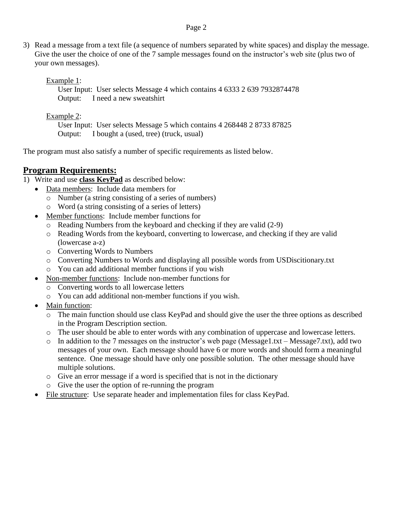#### Page 2

3) Read a message from a text file (a sequence of numbers separated by white spaces) and display the message. Give the user the choice of one of the 7 sample messages found on the instructor's web site (plus two of your own messages).

Example 1:

 User Input: User selects Message 4 which contains 4 6333 2 639 7932874478 Output: I need a new sweatshirt

Example 2:

 User Input: User selects Message 5 which contains 4 268448 2 8733 87825 Output: I bought a (used, tree) (truck, usual)

The program must also satisfy a number of specific requirements as listed below.

### **Program Requirements:**

1) Write and use **class KeyPad** as described below:

- Data members: Include data members for
	- o Number (a string consisting of a series of numbers)
	- o Word (a string consisting of a series of letters)
- Member functions: Include member functions for
	- o Reading Numbers from the keyboard and checking if they are valid (2-9)
	- o Reading Words from the keyboard, converting to lowercase, and checking if they are valid (lowercase a-z)
	- o Converting Words to Numbers
	- o Converting Numbers to Words and displaying all possible words from USDiscitionary.txt
	- o You can add additional member functions if you wish
- Non-member functions: Include non-member functions for
	- o Converting words to all lowercase letters
	- o You can add additional non-member functions if you wish.
- Main function:
	- o The main function should use class KeyPad and should give the user the three options as described in the Program Description section.
	- o The user should be able to enter words with any combination of uppercase and lowercase letters.
	- o In addition to the 7 messages on the instructor's web page (Message1.txt Message7.txt), add two messages of your own. Each message should have 6 or more words and should form a meaningful sentence. One message should have only one possible solution. The other message should have multiple solutions.
	- o Give an error message if a word is specified that is not in the dictionary
	- o Give the user the option of re-running the program
- File structure: Use separate header and implementation files for class KeyPad.